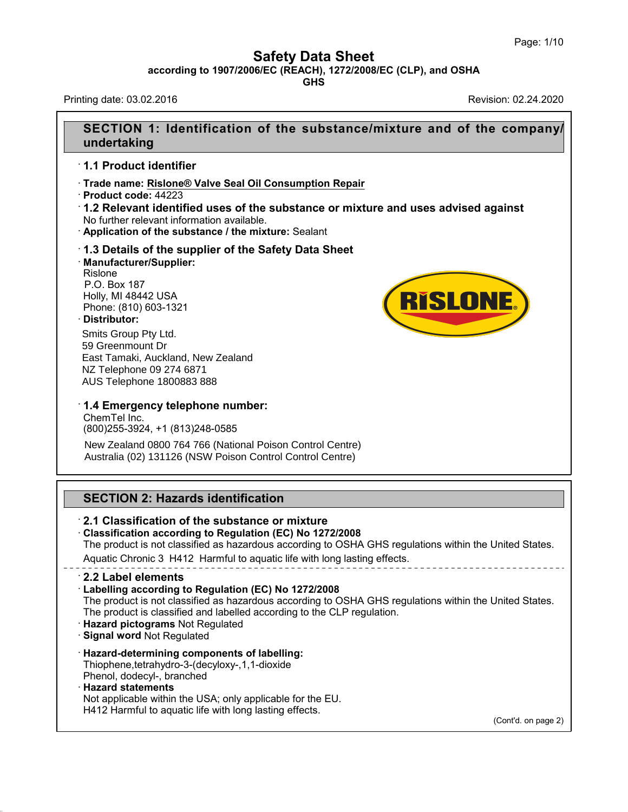**Safety Data Sheet<br>6/EC (REACH), 1272/2008/EC (CLP), and C<br>GHS** Page: 1/10<br>**according to 1907/2006/EC (REACH), 1272/2008/EC (CLP), and OSHA**<br>GHS<br>Printing date: 03.02.2016<br>Revision: 02.24.2020 Page: 1/10<br> **Safety Data Sheet**<br>
according to 1907/2006/EC (REACH), 1272/2008/EC (CLP), and OSHA<br>
Revision: 02.24.2020<br>
Revision: 02.24.2020

**GHS**

## **SECTION 1: Identification of the substance/mixture and of the company/<br>
undertaking<br>
SECTION 1: Identification of the substance/mixture and of the company/<br>
undertaking undertaking SECTION 1: Identification<br>SECTION 1: Identification<br>1.1 Product identifier<br>Trade name: Rislone® Valve Sea** SECTION 1: Identification of the substance/mixture<br>
undertaking<br>
⊤1.1 Product identifier<br>
⊤Trade name: <u>Rislone® Valve Seal Oil Consumption Repair</u><br>
⊤Product code: 44223<br>
⊤1.2 Relevant identified uses of the substance or

**undertaking**<br>
↑ **Product identifier**<br>
↑ **Product code:** 44223<br>
↑ **Product code:** 44223<br>
↑ **1.2 Relevant identified uses of the substance or mixture and uses advised against<br>
No further relevant information available.<br>
↑** <ul>\n<li><b>1.1 Product identifier</b></li>\n<li>Trade name: <a href="#">Rislone® Value Seal Oil Consumption Republic</a></li>\n<li>Product code: <a href="#">44223</a></li>\n<li><b>1.2 Relevant identified uses of the substance or mixture and U</b></li>\n<li>No further relevant information available.</li>\n<li>Application of the substance / the mixture: <a href="#">Sealant</a></li>\n<li><b>1.3 Details of the supplier of the Safety Data Sheet</b></li>\n<li>Manufacturer/Supplier: <a href="#">Rislone</a></li>\n</ul>

· **Manufacturer/Supplier:** Rislone Application of the substand<br>**1.3 Details of the supplie**<br>Manufacturer/Supplier:<br>Rislone<br>P.O. Box 187<br>Holly, MI 48442 USA<br>Phone: (810) 603-1321 1.3 Details of the supplier of t<br>
Manufacturer/Supplier:<br>
Rislone<br>
P.O. Box 187<br>
Holly, MI 48442 USA<br>
Phone: (810) 603-1321<br>
Distributor: 1.3 Details of the supplier o<br>Manufacturer/Supplier:<br>Rislone<br>P.O. Box 187<br>Holly, MI 48442 USA<br>Phone: (810) 603-1321<br>Distributor:<br>Q. W. C. Distributor:

## · **Distributor:**

42.0.8

59 Greenmount Dr<br>East Tamaki, Auckland, New Zealand<br>NZ Telephone 09 274 6871<br>AUS Telephone 1800883 888<br>**1.4 Emergency telephone number:**<br>ChemTel Inc.<br>(800)255-3924, +1 (813)248-0585 Smits Group Pty Ltd. 59 Greenmount Dr East Tamaki, Auckland, New Zealand NZ Telephone 09 274 6871 AUS Telephone 1800883 888

 $\cdot$  **1.4 Emergency telephone number:**<br>ChemTel Inc.<br>(800)255-3924, +1 (813)248-0585 NZ Telephone 09 274 6871<br>AUS Telephone 1800883 888<br>**1.4 Emergency telephone number:**<br>ChemTel Inc.<br>(800)255-3924, +1 (813)248-0585<br>New Zealand 0800 764 766 (National Poise

(800)255-3924, +1 (813)248-0585<br>
New Zealand 0800 764 766 (National Poison Control Ce<br>
Australia (02) 131126 (NSW Poison Control Control Cen<br> **SECTION 2: Hazards identification**<br> **2.1 Classification of the substance or mix** New Zealand 0800 764 766 (National Poison Control Centre) Australia (02) 131126 (NSW Poison Control Control Centre)

Australia (02) 131126 (NSW Polson Control Control Centre)<br>
12.1 Classification of the substance or mixture<br>
12.1 Classification of the substance or mixture<br>
12.1 Classification according to Regulation (EC) No 1272/2008<br>
12 **SECTION 2: Hazards identification<br>
· 2.1 Classification of the substance or mixture<br>
· Classification according to Regulation (EC) No 1272/2008<br>
The product is not classified as hazardous according to OSHA GHS regulation** SECTION 2: Hazards identification<br>2.1 Classification of the substance or mixture<br>Classification according to Regulation (EC) No 1272/2008<br>The product is not classified as hazardous according to OSHA GHS regulations within **EXTION 2. Hazarus Identification**<br> **EXTION 2. Hassification of the substance or mixture**<br> **Classification according to Regulation (EC) No 1272/2008**<br>
The product is not classified as hazardous according to OSHA GHS regula **Classification according to Regulation (EC) No 1272/2008**<br>The product is not classified as hazardous according to OSHA GHS regu<br>Aquatic Chronic 3 H412 Harmful to aquatic life with long lasting effects.<br>**2.2 Label elements** The product is not classified as hazardous according to OSHA GHS regulations within the United States.<br>
Aquatic Chronic 3 H412 Harmful to aquatic life with long lasting effects.<br> **2.2 Label elements**<br> **Labelling according** The product is classified and labelled according to the CLP regulation.<br>
The product is not classified as hazardous according to OSHA GHS regulation.<br>
The product is classified and labelled according to the CLP regulation. • **Z.2 Label elements**<br>• **Labelling according to Regulation**<br>The product is not classified as hazar<br>The product is classified and labelled<br>• **Hazard pictograms** Not Regulated<br>• **Hazard-determining components of** The product is not classified as hazardous according to O<br>
The product is classified and labelled according to the CLI<br> **Hazard pictograms** Not Regulated<br> **Signal word** Not Regulated<br> **Hazard-determining components of labe** Thiophene,tetrahydro-3-(decyloxy-,1,1-dioxide Hazard pictograms Not Regulated<br>Signal word Not Regulated<br>Bignal word Not Regulated<br>Hazard-determining components of<br>Thiophene, tetrahydro-3-(decyloxy-, 1,<br>Phenol, dodecyl-, branched<br>Hazard statements<br>Not applicable within • **Signal word Not Regulated**<br>• **Hazard-determining compo**<br>Thiophene, tetrahydro-3-(decy<br>Phenol, dodecyl-, branched<br>• **Hazard statements**<br>Not applicable within the USA<br>+H412 Harmful to aquatic life v **Hazard-determining components of labelling:**<br>Thiophene,tetrahydro-3-(decyloxy-,1,1-dioxide<br>Phenol, dodecyl-, branched<br>**Hazard statements**<br>Not applicable within the USA; only applicable for the EU.<br>H412 Harmful to aquatic Hazard-determining components of labelling:<br>Thiophene,tetrahydro-3-(decyloxy-,1,1-dioxide<br>Phenol, dodecyl-, branched<br>Hazard statements<br>Not applicable within the USA; only applicable for the EU.<br>H412 Harmful to aquatic life (Cont'd. on page 2)

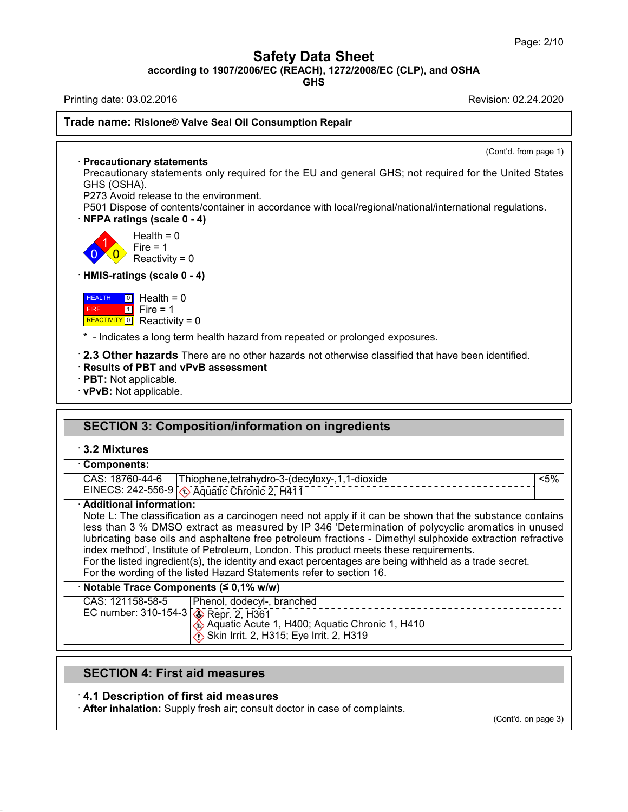**Safety Data Sheet<br>6/EC (REACH), 1272/2008/EC (CLP), and C<br>GHS** Page: 2/10<br>**according to 1907/2006/EC (REACH), 1272/2008/EC (CLP), and OSHA**<br>**GHS**<br>Revision: 02.24.2020 Page: 2/10<br> **Safety Data Sheet**<br>
according to 1907/2006/EC (REACH), 1272/2008/EC (CLP), and OSHA<br>
Printing date: 03.02.2016<br>
Revision: 02.24.2020<br>
Revision: 02.24.2020

**GHS**

## **Trade name:** Rislone® Valve Seal Oil Consumption Repair<br>Trade name: Rislone® Valve Seal Oil Consumption Repair

(Cont'd. from page 1)

**Example 2 Allen Text Seal Oil**<br> **Precautionary statements**<br>
Precautionary statements only requined SHS (OSHA). de name: Rislone® Valve Seal Oil Consumption Repair<br>
Precautionary statements<br>
Precautionary statements<br>
Precautionary statements only required for the EU and general GHS; not required for the United States<br>
GHS (OSHA).<br>
P **Example 18 Allen Channel Statement**<br>Precautionary statement<br>GHS (OSHA).<br>P273 Avoid release to the **Precautionary statements**<br>Precautionary statements only required for t<br>GHS (OSHA).<br>P273 Avoid release to the environment.<br>P501 Dispose of contents/container in accord<br>NEPA ratings (scale 0 - 4) Precautionary statements<br>
Precautionary statements only required for the EU and general GHS; not required for the United States<br>
GHS (OSHA).<br>
P273 Avoid release to the environment.<br>
P501 Dispose of contents/container in ac

divided by Fourier and SA).<br>A).<br>I release to the environment<br>see of contents/container in<br>sigs (scale 0 - 4)<br>Health = 0<br>Fire = 1<br>Reactivity = 0 Freedom the environment of release to the environment of the environment of  $\log s$  (scale 0 - 4)<br>Health = 0<br>Fire = 1<br>Reactivity = 0 Reaction of the dimensional space of contents/container in access<br>
of contents/container in access<br>  $\text{qs (scale 0 - 4)}$ <br>  $\text{Reactivity} = 0$ <br>  $\text{gs (scale 0 - 4)}$ 

 $\begin{array}{c} 0 \ \sqrt{0} \end{array}$  Reactivi Health =  $0$ <br>Fire =  $1$ · **HMIS-ratings (scale 0 - 4)**

 HEALTH FIRE 1 FIFE  $REACTIVITY  $\boxed{0}$  Reactivity = 0$  $\boxed{0}$  Health = 0 Fire = 1<br>
Reactivity = 0<br> **ings (scale 0 - 4)**<br> **i** Health = 0<br> **i** Fire = 1<br>
Reactivity = 0 reactivity = 0<br>
reactivity = 0<br>
Health = 0<br>
Fire = 1<br>
Reactivity = 0

EXTRIMIS-ratings (scale 0 - 4)<br>
REALTH 10 Health = 0<br>
FIRE 1 Fire = 1<br>
REACTIVITY 0 Reactivity = 0<br>
\* - Indicates a long term health hazard from repeated or prolonged exposures.

**EALTH O** Health = 0<br>
Fire **C** Health = 0<br> **EACTIVITY O** Health = 0<br> **EACTIVITY O** Reactivity = 0<br> **COMPTE ACTIVITY O** Reactivity = 0<br> **COMPTE ACTIVITY ACTIVITY** PORE are no other hazards of prolonged exposures.<br> **COMPT** • **2.3 Other hazards** There are no other hazards not otherwise classified that have been identified. • **Results of PBT and vPvB assessment**<br>• **PBT:** Not applicable.<br>• **vPvB:** Not applicable.

- 
- 

# 2.5 Officer Hazards There are no officer Hazards not officerwise classified that he<br>Results of PBT and vPvB assessment<br>PBT: Not applicable.<br>VPvB: Not applicable.<br>SECTION 3: Composition/information on ingredients<br>3.2 Mixtur

42.0.8

|                                                                         | <b>SECTION 3: Composition/information on ingredients</b>                                                                                                                                                                                                                                                                                                                                                                                                                                                                                                                                              |
|-------------------------------------------------------------------------|-------------------------------------------------------------------------------------------------------------------------------------------------------------------------------------------------------------------------------------------------------------------------------------------------------------------------------------------------------------------------------------------------------------------------------------------------------------------------------------------------------------------------------------------------------------------------------------------------------|
| 3.2 Mixtures                                                            |                                                                                                                                                                                                                                                                                                                                                                                                                                                                                                                                                                                                       |
| <b>Components:</b><br>CAS: 18760-44-6                                   | $< 5\%$<br>Thiophene, tetrahydro-3-(decyloxy-, 1, 1-dioxide<br>EINECS: 242-556-9 \\ Aquatic Chronic 2, H411                                                                                                                                                                                                                                                                                                                                                                                                                                                                                           |
| · Additional information:                                               | Note L: The classification as a carcinogen need not apply if it can be shown that the substance contains<br>less than 3 % DMSO extract as measured by IP 346 'Determination of polycyclic aromatics in unused<br>lubricating base oils and asphaltene free petroleum fractions - Dimethyl sulphoxide extraction refractive<br>index method', Institute of Petroleum, London. This product meets these requirements.<br>For the listed ingredient(s), the identity and exact percentages are being withheld as a trade secret.<br>For the wording of the listed Hazard Statements refer to section 16. |
|                                                                         |                                                                                                                                                                                                                                                                                                                                                                                                                                                                                                                                                                                                       |
| Notable Trace Components (≤ 0,1% w/w)                                   |                                                                                                                                                                                                                                                                                                                                                                                                                                                                                                                                                                                                       |
| CAS: 121158-58-5<br>EC number: 310-154-3 $\sqrt{\bullet}$ Repr. 2, H361 | Phenol, dodecyl-, branched<br>___________________<br>Aquatic Acute 1, H400; Aquatic Chronic 1, H410<br>Skin Irrit. 2, H315; Eye Irrit. 2, H319                                                                                                                                                                                                                                                                                                                                                                                                                                                        |
|                                                                         |                                                                                                                                                                                                                                                                                                                                                                                                                                                                                                                                                                                                       |

SECTION 4: First aid measures<br>
4.1 Description of first aid measures<br>
4.1 Description of first aid measures<br>
4.1 After inhalation: Supply fresh air; consult doctor in ca **SECTION 4: First aid measures**<br> **4.1 Description of first aid measures**<br> **After inhalation:** Supply fresh air; consult doctor in case of complaints.

(Cont'd. on page 3)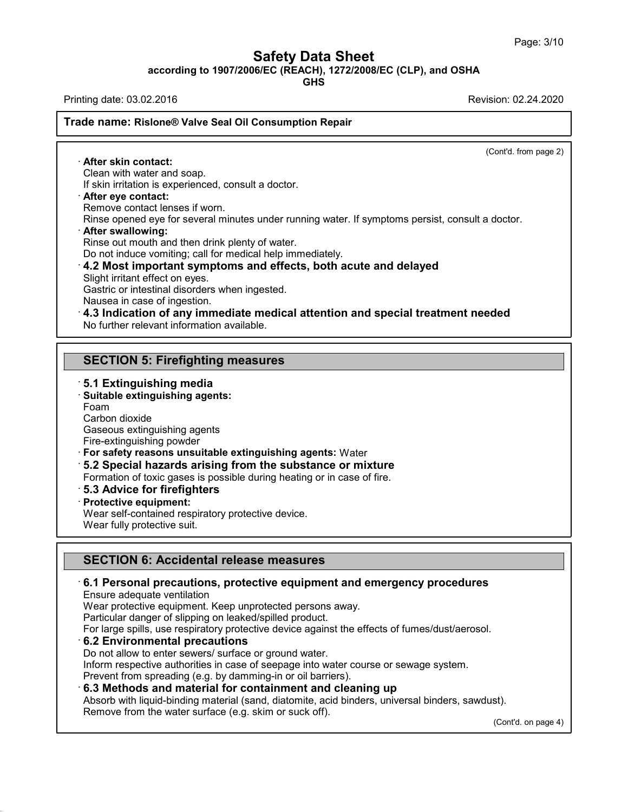**Safety Data Sheet<br>6/EC (REACH), 1272/2008/EC (CLP), and C<br>GHS** Page: 3/10<br>**according to 1907/2006/EC (REACH), 1272/2008/EC (CLP), and OSHA**<br>GHS<br>Printing date: 03.02.2016<br>Revision: 02.24.2020 Page: 3/10<br> **Safety Data Sheet**<br>
according to 1907/2006/EC (REACH), 1272/2008/EC (CLP), and OSHA<br>
Printing date: 03.02.2016<br>
Revision: 02.24.2020<br>
Revision: 02.24.2020

**GHS**

## **Trade name:** Rislone® Valve Seal Oil Consumption Repair<br>Trade name: Rislone® Valve Seal Oil Consumption Repair

(Cont'd. from page 2) **ade name: Rislone® Valve S<br>
• After skin contact:**<br>
• Clean with water and soap.<br>
If skin irritation is experienced Clean with water and soap. **If skin contact:**<br> **If skin irritation is experienced, consult a doctor.**<br> **If skin irritation is experienced, consult a doctor.**<br> **Parter eye contact:**<br>
Remove contact lenses if worn.<br>
Rinse opened eve for several minute **Example 18 After skin contact:**<br>
Clean with water and soap.<br>
If skin irritation is experienced, consult a doctor.<br> **After eye contact:**<br>
Remove contact lenses if worn.<br>
Rinse opened eye for several minutes under running Refler skin contact:<br>
Clean with water and soap.<br>
If skin irritation is experienced, consult a doctor.<br> **After eye contact:**<br>
Remove contact lenses if worn.<br>
Rinse opened eye for several minutes under running water. If sym If skin irritation is experienced, consult a doctor.<br> **After eye contact:**<br>
Remove contact lenses if worn.<br>
Rinse opened eye for several minutes under running water.<br> **After swallowing:**<br>
Rinse out mouth and then drink ple Or After eye contact:<br>
Remove contact lenses if worn.<br>
Rinse opened eye for several minutes under running water. If symptoms persist, consult a<br> **After swallowing:**<br>
Rinse out mouth and then drink plenty of water.<br>
Do not Rinse out mouth and then drink plenty of water.<br>
Do not induce vomiting; call for medical help immediately.<br> **4.2 Most important symptoms and effects, both acute and delayed**<br>
Slight irritant effect on eyes.<br>
Gastric or in After swallowing:<br>Rinse out mouth and then drink plenty of water.<br>Do not induce vomiting; call for medical help immediate<br>4.2 Most important symptoms and effects, bot<br>Slight irritant effect on eyes.<br>Gastric or intestinal d Rinse out mouth and then drink plenty of water.<br>
Do not induce vomiting; call for medical help immediately.<br> **4.2 Most important symptoms and effects, both acute and delayed**<br>
Slight irritant effect on eyes.<br>
Gastric or in 4.2 MOST Important symptoms and errects,<br>Slight irritant effect on eyes.<br>Gastric or intestinal disorders when ingested.<br>Nausea in case of ingestion.<br>4.3 Indication of any immediate medical at<br>No further relevant informatio **Sashit of Intestinal disolders when higested.**<br>
Nausea in case of ingestion.<br>
4.3 Indication of any immediate medical attentic<br>
No further relevant information available.<br> **SECTION 5: Firefighting measures**<br>
5.1 Extinguis No further relevant information available.<br> **SECTION 5: Firefighting measure**<br> **5.1 Extinguishing media**<br>
Suitable extinguishing agents:<br>
Foam

## **SECTION 5: Firefighting measures:**<br>**5.1 Extinguishing media<br>· Suitable extinguishing agents:**<br>Foam<br>Carbon dioxide

Foam<br>Carbon dioxide

**5.1 Extinguishing media**<br> **Suitable extinguishing agents:**<br>
Foam<br>
Carbon dioxide<br>
Gaseous extinguishing agents<br>
Fire-extinguishing powder 5.1 Extinguishing media<br>Suitable extinguishing agents:<br>Foam<br>Carbon dioxide<br>Gaseous extinguishing agents<br>Fire-extinguishing powder<br>For safety reasons unsuitable extinguis

- 5.1 Extinguishing media<br>Suitable extinguishing agents:<br>Foam<br>Carbon dioxide<br>Gaseous extinguishing agents<br>Fire-extinguishing powder<br>For safety reasons unsuitable extin<br>5.2 Spocial bazards arising fron
- **Suitable extinguishing agents:**<br>
Foam<br>
Carbon dioxide<br>
Gaseous extinguishing agents<br>
Fire-extinguishing powder<br>
 **For safety reasons unsuitable extinguishing agents:** Water<br>
 **5.2 Special hazards arising from the subs** Foam<br>
Carbon dioxide<br>
Gaseous extinguishing agents<br>
Fire-extinguishing powder<br>
For safety reasons unsuitable extinguishing agents: Water<br>
5.2 Special hazards arising from the substance or mixture<br>
Formation of toxic gases Carbon dioxide<br>
Gaseous extinguishing agents<br>
Fire-extinguishing powder<br> **For safety reasons unsuitable extinguishing agents:** Water<br> **5.2 Special hazards arising from the substance or mixture**<br>
Formation of toxic gases is

- 
- 

• **For safety reasons unsuitable 5.2 Special hazards arisin**<br>**Formation of toxic gases is position**<br>**Formation of toxic gases is position**<br>**Protective equipment:**<br>Wear self-contained respirator<br>Wear fully protective suit. For salety reasons unsultable extinguishing agents. Wate<br>5.2 Special hazards arising from the substance or m<br>Formation of toxic gases is possible during heating or in case<br>5.3 Advice for firefighters<br>Protective equipment:<br> Formation of toxic gases is possible during heating or in case of fire.<br> **5.3 Advice for firefighters**<br> **Protective equipment:**<br>
Wear self-contained respiratory protective device.<br>
Wear fully protective suit. **S.3 Advice for ineirginers**<br>Protective equipment:<br>Wear self-contained respiratory protective device.<br>Wear fully protective suit.<br>**SECTION 6: Accidental release measures**<br>6.1 Personal precautions, protective equipment and

## **EXAMPLE 19.1 Personal precautions, protective equipment and emergency procedures**<br> **6.1 Personal precautions, protective equipment and emergency procedures**<br>
Ensure adequate ventilation<br>
Wear protective equipment. Keep un 6.1 Personal precautions, protective equipment and emergency procedures For **6.1 Personal precautions, protective equipment and emergency procedures**<br>Ensure adequate ventilation<br>Wear protective equipment. Keep unprotected persons away.<br>Particular danger of slipping on leaked/spilled product.<br>F

42.0.8

**SECTION 6: Accidental release measures**<br>6.1 Personal precautions, protective equipment and<br>Ensure adequate ventilation<br>Wear protective equipment. Keep unprotected persons away.<br>Particular danger of slipping on leaked/spil **SECTION 6: Accidental release measures<br>6.1 Personal precautions, protective equipment and en<br>Ensure adequate ventilation<br>Wear protective equipment. Keep unprotected persons away.<br>Particular danger of slipping on leaked/sp** Ensure adequate ventilation<br>Wear protective equipment. Keep unprotected persons away.<br>Particular danger of slipping on leaked/spilled product.<br>For large spills, use respiratory protective device against the effects<br>6.2 Env

Wear protective equipment. Keep unprotected persons away.<br>
Particular danger of slipping on leaked/spilled product.<br>
For large spills, use respiratory protective device against the effects of fumes/dust/aerosol.<br> **6.2 Envi** 

6.3 Methods and material for containment and cleaning up

Particular danger of slipping on leaked/spilled product.<br>
For large spills, use respiratory protective device against the effects of fumes/dust/aeros<br> **6.2 Environmental precautions**<br>
Do not allow to enter sewers/ surface **6.2 Environmental precautions**<br>
Do not allow to enter sewers/ surface or ground water.<br>
Inform respective authorities in case of seepage into water course or sewage system.<br>
Prevent from spreading (e.g. by damming-in or

 $(Cont'd. on page 4)$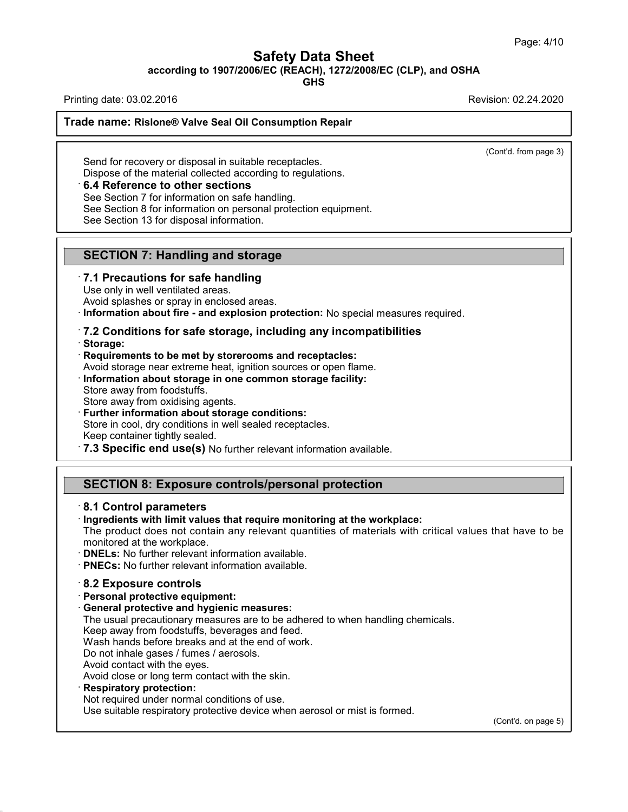**Safety Data Sheet<br>6/EC (REACH), 1272/2008/EC (CLP), and C<br>GHS** Page: 4/10<br>**according to 1907/2006/EC (REACH), 1272/2008/EC (CLP), and OSHA**<br>GHS<br>Printing date: 03.02.2016<br>Revision: 02.24.2020 Page: 4/10<br> **Safety Data Sheet**<br>
according to 1907/2006/EC (REACH), 1272/2008/EC (CLP), and OSHA<br>
Printing date: 03.02.2016<br>
Revision: 02.24.2020<br>
Revision: 02.24.2020

**GHS**

## **Trade name:** Rislone® Valve Seal Oil Consumption Repair<br>Trade name: Rislone® Valve Seal Oil Consumption Repair

(Cont'd. from page 3)

Trade name: Rislone® Valve Seal Oil Consumption Repair<br>
Send for recovery or disposal in suitable receptacles.<br>
Dispose of the material collected according to regulations.<br>
6.4 Reference to other sections **Example 3 Collected According to Tensiste according to recovery or disposel in suitable receptacles.**<br>Dispose of the material collected according to regulations.<br>• **6.4 Reference to other sections**<br>See Section 7 for infor

See Section 7 for information on safe handling.

Dispose of the material collected according to regulations.<br> **6.4 Reference to other sections**<br>
See Section 7 for information on safe handling.<br>
See Section 8 for information on personal protection equip<br>
See Section 13 fo See Section 8 for information on personal protection equipment. **S.4 Reference to other sections**<br>
See Section 7 for information on safe handling.<br>
See Section 8 for information on personal protection equi<br>
See Section 13 for disposal information.<br> **SECTION 7: Handling and storage**<br>
7.

# See Section 13 for disposal information.<br> **SECTION 7: Handling and storage**<br> **7.1 Precautions for safe handling**<br>
Use only in well ventilated areas.<br>
Avoid splashes or spray in enclosed areas.<br> **Information about fire** and

**SECTION 7: Handling and storage<br>
· 7.1 Precautions for safe handling<br>
Use only in well ventilated areas.<br>
· Avoid splashes or spray in enclosed areas.<br>
· <b>Information about fire - and explosion protection:** No special mea

## Avoid splashes or spray in enclosed areas.<br> **COMETABLE 1997 THE METABLE 1997 THE METABLE 1997 THE METABLE 17.2 Conditions for safe storage, including any incompate<br>
<b>Requirements to be met by storerooms and receptacles:**<br>

· **Storage:**

Avoid storage near extreme heat, ignition sources or open flame.<br> **7.2 Conditions for safe storage, including any incompatibilities**<br> **Requirements to be met by storerooms and receptacles:**<br>
Avoid storage near extreme heat Requirements to be met by storerooms and receptacles:<br>Avoid storage near extreme heat, ignition sources or open flame.<br>Information about storage in one common storage facility:<br>Store away from oxidising agents. Storage:<br>
Requirements to be met by storerooms and receptace<br>
Avoid storage near extreme heat, ignition sources or ope<br>
Information about storage in one common storage fa<br>
Store away from oxidising agents.<br>
Further informa Avoid storage near extreme heat, ignition sources or open fla<br>**Information about storage in one common storage facilit**<br>Store away from oxidising agents.<br>**Store away from oxidising agents.**<br>**Further information about stora** 

Store in cool, dry conditions in well sealed receptacles.<br>• Keep container tightly sealed.<br>• **7.3 Specific end use(s)** No further relevant information available. Further Information about storage conditions.<br>
Store in cool, dry conditions in well sealed receptacles.<br> **SECTION 8: Exposure controls/personal protection**<br> **SECTION 8: Exposure controls/personal protection**<br>
8.1 Control

## **7.3 Specific end use(s) No further<br>
SECTION 8: Exposure contro<br>
8.1 Control parameters<br>
Ingredients with limit values that re<br>
The product does not contain any r**

**SECTION 8: Exposure controls/personal protection**<br> **8.1 Control parameters**<br> **Ingredients with limit values that require monitoring at the workplace:**<br>
The product does not contain any relevant quantities of materials wit The product does not contain any relevant quantities of materials with critical values that have to be<br>The product does not contain any relevant quantities of materials with critical values that have to be<br>monitored at the **SECTION 8: Exposure controls/personal prote**<br> **B.1 Control parameters**<br> **Ingredients with limit values that require monitoring at**<br>
The product does not contain any relevant quantities of<br> **PNELS:** No further relevant inf

• **DNELs:** No further relevant information available.<br>
• **PNECs:** No further relevant information available.<br>
• **8.2 Exposure controls**<br>
• **Personal protective equipment:**<br>
• General protective and hygienic measures:

- 
- **DNELs:** No further relevant information available.<br>• **PNECs:** No further relevant information available.<br>• **8.2 Exposure controls**<br>• **Personal protective equipment:**<br>• **General protective and hygienic measures:**<br>The usu **PNECs:** No further relevant information available.<br> **8.2 Exposure controls**<br> **Personal protective equipment:**<br> **General protective and hygienic measures:**<br>
The usual precautionary measures are to be adhered to when handli 8.2 Exposure controls<br>Personal protective equipment:<br>General protective and hygienic measures:<br>The usual precautionary measures are to be adhered to when<br>Keep away from foodstuffs, beverages and feed.<br>Wash hands before bre 8.2 Exposure controls<br>Personal protective equipment:<br>General protective and hygienic measures:<br>The usual precautionary measures are to be adhered to when ha<br>Keep away from foodstuffs, beverages and feed.<br>Wash hands before **Personal protective equipment:**<br> **General protective and hygienic measures:**<br>
The usual precautionary measures are to be adh<br>
Keep away from foodstuffs, beverages and feed.<br>
Wash hands before breaks and at the end of wor<br> **General protective and hygienic measu**<br>The usual precautionary measures are to<br>Keep away from foodstuffs, beverages ar<br>Wash hands before breaks and at the eno<br>Do not inhale gases / fumes / aerosols.<br>Avoid contact with the

The usual precautionary measures are to be adhered to whe<br>Keep away from foodstuffs, beverages and feed.<br>Wash hands before breaks and at the end of work.<br>Do not inhale gases / fumes / aerosols.<br>Avoid contact with the eyes.

42.0.8

Wash hands before breaks and at the end of work.<br>Do not inhale gases / fumes / aerosols.<br>Avoid contact with the eyes.<br>Avoid close or long term contact with the skin.<br>**Respiratory protection:**<br>Not required under normal cond Do not inhale gases / fumes / aerosols.<br>Avoid contact with the eyes.<br>Avoid close or long term contact with the skin.<br>**Respiratory protection:**<br>Not required under normal conditions of use.<br>Use suitable respiratory protectiv

(Cont'd. on page 5)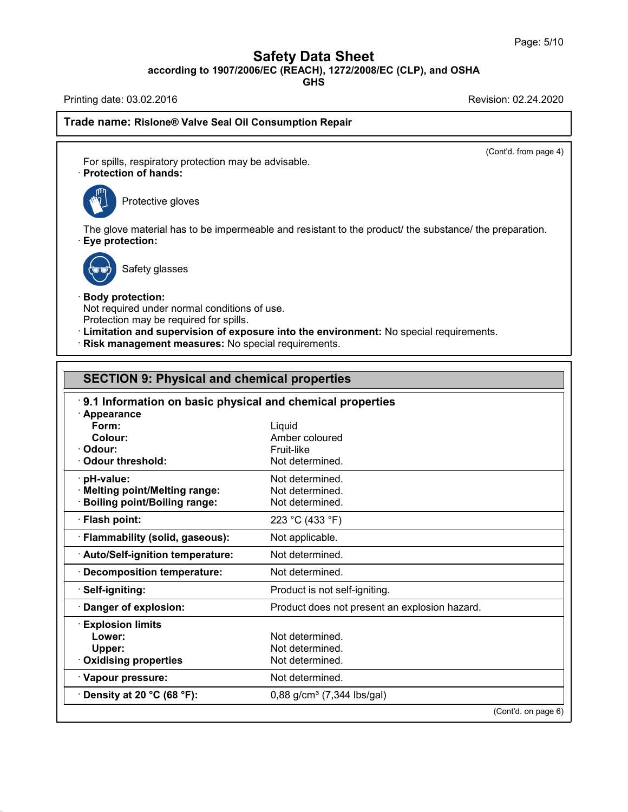**Safety Data Sheet**<br> **according to 1907/2006/EC (REACH), 1272/2008/EC (CLP), and OSHA**<br>
GHS Page: 5/10<br> **Safety Data Sheet**<br>
according to 1907/2006/EC (REACH), 1272/2008/EC (CLP), and OSHA<br>
Printing date: 03.02.2016<br>
Revision: 02.24.2020<br>
Revision: 02.24.2020

**GHS**

## **Trade name:** Rislone® Valve Seal Oil Consumption Repair<br>Trade name: Rislone® Valve Seal Oil Consumption Repair

(Cont'd. from page 4)

Printing date: 03.02.2016<br> **Trade name: Rislone® Valve Seal Oil Consumption Repair**<br>
For spills, respiratory protection may be advisable.<br> **Protection of hands:**<br>
Protective gloves For spills, respiratory protection may be advisable.



The glove material has to be impermeable and resistant to the product/ the substance/ the preparation.<br>• **Eye protection:**<br>• **Eye protection:** e material has to be imper<br>t**ection:**<br>Safety glasses • **Eye protection:**<br>
Safety glasses<br>
• **Body protection:**<br>
Not required under normal conditions of use.<br>
Protection may be required for spills.



42.0.8

Safety glasses<br>
Body protection:<br>
Not required under normal conditions of use.<br>
Protection may be required for spills.<br>
Limitation and supervision of exposure into the enviror

- Protection may be required for spills.<br> **Example 2018** Protection may be required for spills.<br> **Protection and supervision of exposure into the environment:** No special requirements.<br> **Protection and supervision of exposur : Limitation and supervision of exposure into the environment:** No special requirements.<br>**Risk management measures:** No special requirements.
- 

|                                                           | · Risk management measures: No special requirements. |  |  |  |                       |
|-----------------------------------------------------------|------------------------------------------------------|--|--|--|-----------------------|
| <b>SECTION 9: Physical and chemical properties</b>        |                                                      |  |  |  |                       |
| 9.1 Information on basic physical and chemical properties |                                                      |  |  |  |                       |
|                                                           |                                                      |  |  |  | · Appearance<br>Form: |
| Colour:                                                   | Amber coloured                                       |  |  |  |                       |
| Odour:                                                    | Fruit-like                                           |  |  |  |                       |
| Odour threshold:                                          | Not determined.                                      |  |  |  |                       |
| · pH-value:                                               | Not determined.                                      |  |  |  |                       |
| · Melting point/Melting range:                            | Not determined.                                      |  |  |  |                       |
| <b>Boiling point/Boiling range:</b>                       | Not determined.                                      |  |  |  |                       |
| · Flash point:                                            | 223 °C (433 °F)                                      |  |  |  |                       |
| · Flammability (solid, gaseous):                          | Not applicable.                                      |  |  |  |                       |
| · Auto/Self-ignition temperature:                         | Not determined.                                      |  |  |  |                       |
| Decomposition temperature:                                | Not determined.                                      |  |  |  |                       |
| · Self-igniting:                                          | Product is not self-igniting.                        |  |  |  |                       |
| Danger of explosion:                                      | Product does not present an explosion hazard.        |  |  |  |                       |
| <b>Explosion limits</b>                                   |                                                      |  |  |  |                       |
| Lower:                                                    | Not determined.                                      |  |  |  |                       |
| Upper:                                                    | Not determined.                                      |  |  |  |                       |
| Oxidising properties                                      | Not determined.                                      |  |  |  |                       |
| · Vapour pressure:                                        | Not determined.                                      |  |  |  |                       |
| $\cdot$ Density at 20 °C (68 °F):                         | $0,88$ g/cm <sup>3</sup> (7,344 lbs/gal)             |  |  |  |                       |
|                                                           | (Cont'd. on page 6)                                  |  |  |  |                       |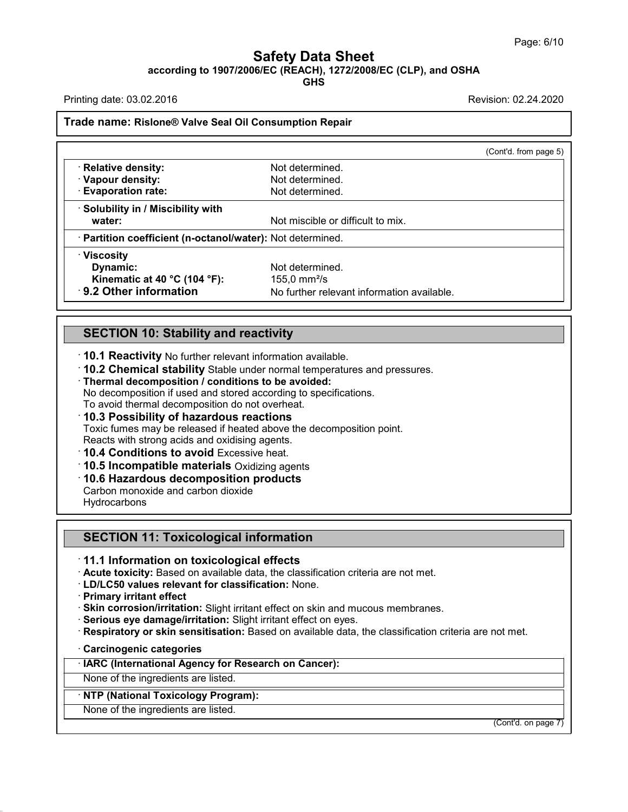## **Safety Data Sheet<br>6/EC (REACH), 1272/2008/EC (CLP), and C<br>GHS** Page: 6/10<br>**according to 1907/2006/EC (REACH), 1272/2008/EC (CLP), and OSHA**<br>GHS<br>Printing date: 03.02.2016<br>Revision: 02.24.2020 Page: 6/10<br> **Safety Data Sheet**<br>
according to 1907/2006/EC (REACH), 1272/2008/EC (CLP), and OSHA<br>
Printing date: 03.02.2016<br>
Revision: 02.24.2020<br>
Revision: 02.24.2020

| Printing date: 03.02.2016                                        |                                                                         | Revision: 02.24.2020  |
|------------------------------------------------------------------|-------------------------------------------------------------------------|-----------------------|
| Trade name: Rislone® Valve Seal Oil Consumption Repair           |                                                                         |                       |
|                                                                  |                                                                         | (Cont'd. from page 5) |
| · Relative density:                                              | Not determined.                                                         |                       |
| · Vapour density:                                                | Not determined.                                                         |                       |
| <b>Evaporation rate:</b>                                         | Not determined.                                                         |                       |
| Solubility in / Miscibility with                                 |                                                                         |                       |
| water:                                                           | Not miscible or difficult to mix.                                       |                       |
| · Partition coefficient (n-octanol/water): Not determined.       |                                                                         |                       |
| · Viscosity                                                      |                                                                         |                       |
| Dynamic:                                                         | Not determined.                                                         |                       |
| Kinematic at 40 $^{\circ}$ C (104 $^{\circ}$ F):                 | 155,0 mm $^{2}/s$                                                       |                       |
| 9.2 Other information                                            | No further relevant information available.                              |                       |
|                                                                  |                                                                         |                       |
| <b>SECTION 10: Stability and reactivity</b>                      |                                                                         |                       |
|                                                                  |                                                                         |                       |
| 10.1 Reactivity No further relevant information available.       |                                                                         |                       |
|                                                                  | 10.2 Chemical stability Stable under normal temperatures and pressures. |                       |
| Thermal decomposition / conditions to be avoided:                |                                                                         |                       |
| No decomposition if used and stored according to specifications. |                                                                         |                       |
| To avoid thermal decomposition do not overheat.                  |                                                                         |                       |

SECTION TO: Stability and reactivity<br>10.1 Reactivity No further relevant information available.<br>10.2 Chemical stability Stable under normal temperatures and pr<br>Thermal decomposition / conditions to be avoided:<br>No decomposi To **10.1 Reactivity** No further relevant information available.<br> **10.2 Chemical stability** Stable under normal temperature.<br> **Thermal decomposition / conditions to be avoided:**<br>
No decomposition if used and stored accordin

Thermal decomposition / conditions to be avoided:<br>
No decomposition if used and stored according to specification<br>
To avoid thermal decomposition do not overheat.<br> **10.3 Possibility of hazardous reactions**<br>
Toxic fumes may

TO.Z Chemical stability stable under normal temperatures and pressures.<br>Thermal decomposition / conditions to be avoided:<br>No decomposition if used and stored according to specifications.<br>To avoid thermal decomposition do n

Reacts with strong acids and oxidising agents.<br>
10.4 Conditions to avoid Excessive heat.<br>
10.5 Incompatible materials Oxidizing agents<br>
10.6 Hazardous decomposition products<br>
Carbon monoxide and carbon dioxide

• **10.3 Possibility of hazardous reactions**<br>
Toxic fumes may be released if heated above the decompo<br>
Reacts with strong acids and oxidising agents.<br>
• **10.4 Conditions to avoid** Excessive heat.<br>
• **10.5 Incompatible mater Hydrocarbons To.5 Incomparible Inaterials Oxidizing agents**<br>**10.6 Hazardous decomposition products**<br>Carbon monoxide and carbon dioxide<br>**SECTION 11: Toxicological information**<br>**11.1 Information on toxicological effects** 

**SECTION 11: Toxicological information<br>
11.1 Information on toxicological effects<br>
· Acute toxicity: Based on available data, the classification criteria are not met.<br>
· LD/LC50 values relevant for classification: None.** 

- 
- **SECTION 11: Toxicological information**<br> **· 11.1 Information on toxicological effects**<br> **· Acute toxicity:** Based on available data, the classification criteria are not met.<br> **· Primary irritant effect**<br> **· Skin corrosion/**
- 
- 11.1 Information on toxicological effects<br>
Acute toxicity: Based on available data, the classification criteria are not met.<br>
LD/LC50 values relevant for classification: None.<br>
Primary irritant effect<br>
Skin corrosion/irrit • Skin corrosion/irritation: Slight irritant effect on skin and mucous<br>• Serious eye damage/irritation: Slight irritant effect on eyes.<br>• Respiratory or skin sensitisation: Based on available data, the c<br>• Carcinogenic cat **Example 3 Serious eye damage/irritation:** Slight irritant expression of the ingredients are listed.<br> **RAC (International Agency for Research on None of the ingredients are listed.**<br> **NONE OF the ingredients are listed.**<br>

42.0.8

• Carcinogenic categories<br>
• IARC (International Agency for Research on Cancer):<br>
None of the ingredients are listed.<br>
None of the ingredients are listed.

(Cont'd. on page 7)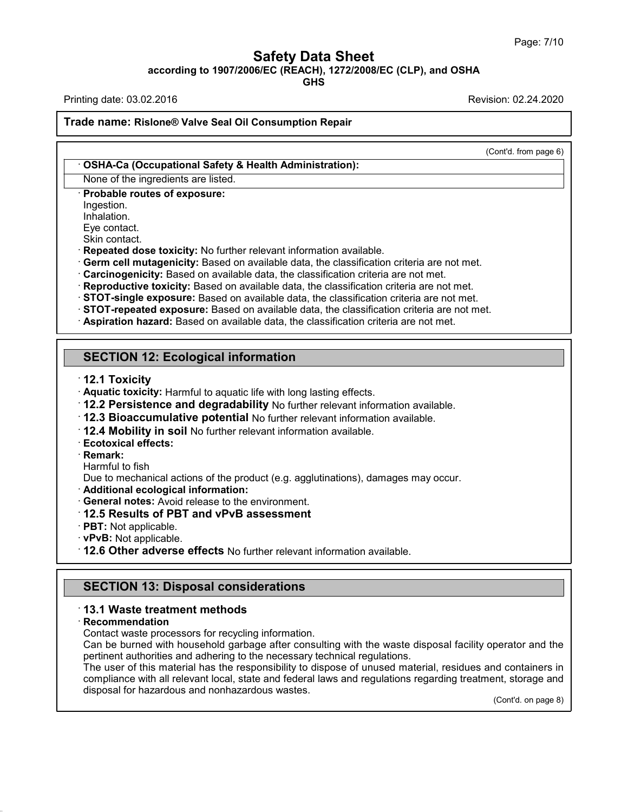**Safety Data Sheet<br>6/EC (REACH), 1272/2008/EC (CLP), and C<br>GHS** Page: 7/10<br>**according to 1907/2006/EC (REACH), 1272/2008/EC (CLP), and OSHA**<br>GHS<br>Printing date: 03.02.2016<br>Revision: 02.24.2020 Page: 7/10<br> **Safety Data Sheet**<br>
according to 1907/2006/EC (REACH), 1272/2008/EC (CLP), and OSHA<br>
Printing date: 03.02.2016<br>
Revision: 02.24.2020<br>
Revision: 02.24.2020

**GHS**

(Cont'd. from page 6)

## **Trade name:** Rislone® Valve Seal Oil Consumption Repair<br>Trade name: Rislone® Valve Seal Oil Consumption Repair

## **Trade name: Rislone® Valve Seal Oil Consumption Repair**<br>
• **OSHA-Ca (Occupational Safety & Health Administration):**<br>
None of the ingredients are listed.<br>
• **Probable routes of exposure: Example: Rislone® Valve Seal Oil Consumplements are listed.**<br>• **OSHA-Ca (Occupational Safety & Health Ad**<br>• **Probable routes of exposure:**<br>• **Probable routes of exposure:**<br>• Ingestion.<br>• Inhalation.

Ingestion.

Inhalation.<br>Eve contact.

None of the ingredients are listed.<br>
The interest of exposure:<br>
Ingestion.<br>
Inhalation.<br>
Eye contact.<br>
Skin contact.<br>
Repeated dose toxicity: No further relevant information available.

Forolable routes of exposure:<br>
Probable routes of exposure:<br>
Eye contact.<br>
Skin contact.<br>
Skin contact:<br>
Skin contact:<br>
Repeated dose toxicity: No further relevant information available.<br>
Cerm cell mutagenicity: Based on a **Reproductive toxicity:** Based on available data, the classification criteria are not met.<br> **STOT-single exposure:** Based on available data, the classification criteria are not met.<br> **STOT-repeated exposure:** Based on avai

- **Aquatic toxicity:** Harmful to aquatic life with long lasting effects.<br>12.2 Persistence and degradability No further relevant information available. SECTION 12: Ecological information<br>
12.1 Toxicity<br>
2.1 Toxicity<br>
2.2 Persistence and degradability No further relevant information available.<br>
12.2 Persistence and degradability No further relevant information available.<br>
- 12.2 Persistence and deg<br>12.3 Bioaccumulative pot<br>12.4 Mobility in soil No fur<br>Ecotoxical effects:<br>Remark:<br>Harmful to fish<br>Due to mechanical actions of the Additional ecological inform

· **Remark:**

T2.3 Bloaccumulative potential No further relevant information available.<br> **Ecotoxical effects:**<br> **Remark:**<br> **Remark:**<br>
Harmful to fish<br>
Due to mechanical actions of the product (e.g. agglutinations), damages may occur.<br> • **Ecotoxical effects:**<br>• **Remark:**<br>• Harmful to fish<br>Due to mechanical actions of the product (e.g. agglutination<br>• **Additional ecological information:**<br>• **General notes:** Avoid release to the environment.<br>• **12.5 Results** • **PRT:** Not applicable. • **PPST:** Not applicable. • **PPST:** Not applicable. • **PPST:** Not applicable. • **PPST:** Not applicable. • **12.6 Other adverse effects** No further relevant information available. • **12.6 Other adver** 

- 
- 
- 
- 
- 

**PBT:** Not applicable.<br> **PBT:** Not applicable.<br> **12.6 Other adverse effects** No further relevant informations<br> **SECTION 13: Disposal considerations**<br> **13.1 Waste treatment methods** • **12.6 Other adverse effects** No further relevant information available.<br>
• **SECTION 13: Disposal considerations**<br>
• **13.1 Waste treatment methods**<br>
• **Recommendation**<br>
• Contact waste processors for recycling information

## · **Recommendation**

42.0.8

Can be burned with household garbage after consulting with the waste disposal facility operator and the SECTION 13: Disposal considerations<br>13.1 Waste treatment methods<br>Recommendation<br>Contact waste processors for recycling information.<br>Can be burned with household garbage after consulting with the waste disposal facility ope **13.1 Waste treatment methods<br>
Recommendation**<br>
Contact waste processors for recycling information.<br>
Can be burned with household garbage after consulting with the waste dispos<br>
pertinent authorities and adhering to the ne

13.1 Waste treatment methods<br>
Recommendation<br>
Contact waste processors for recycling information.<br>
Can be burned with household garbage after consulting with the waste disposal facility operator and the<br>
pertinent authorit Recommendation<br>Contact waste processors for recycling information.<br>Can be burned with household garbage after consulting with the waste disposal facility operator and the<br>pertinent authorities and adhering to the necessary Contact waste processors for recycling information.<br>Can be burned with household garbage after consulting with<br>pertinent authorities and adhering to the necessary technical r<br>The user of this material has the responsibilit nd containers in<br>ent, storage and<br>(Cont'd. on page 8)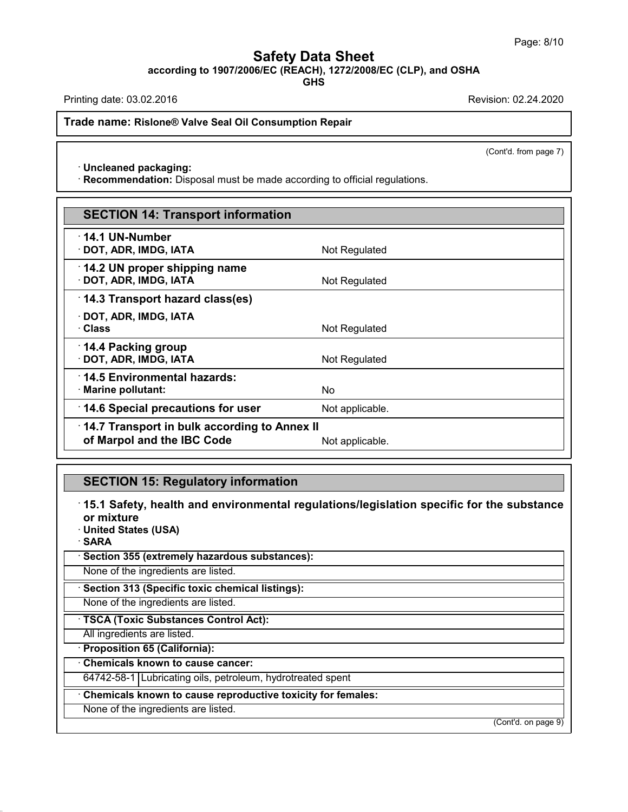**Safety Data Sheet<br>6/EC (REACH), 1272/2008/EC (CLP), and C<br>GHS** Page: 8/10<br>**according to 1907/2006/EC (REACH), 1272/2008/EC (CLP), and OSHA**<br>Printing date: 03.02.2016<br>Revision: 02.24.2020 Page: 8/10<br> **Safety Data Sheet**<br>
according to 1907/2006/EC (REACH), 1272/2008/EC (CLP), and OSHA<br>
Printing date: 03.02.2016<br>
Revision: 02.24.2020<br>
Revision: 02.24.2020

**GHS**

**Trade name:** Rislone® Valve Seal Oil Consumption Repair<br>Trade name: Rislone® Valve Seal Oil Consumption Repair · **Uncleaned packaging:**

(Cont'd. from page 7)

**Ande name: Rislone® Valve Seal Oil Consumption Repair**<br>• **Uncleaned packaging:**<br>• **Recommendation:** Disposal must be made according to official regulations.

|                                                                                                  | (Cont'd. from page 7) |  |  |  |  |
|--------------------------------------------------------------------------------------------------|-----------------------|--|--|--|--|
| · Uncleaned packaging:                                                                           |                       |  |  |  |  |
| · Recommendation: Disposal must be made according to official regulations.                       |                       |  |  |  |  |
|                                                                                                  |                       |  |  |  |  |
| <b>SECTION 14: Transport information</b>                                                         |                       |  |  |  |  |
| $\cdot$ 14.1 UN-Number                                                                           |                       |  |  |  |  |
| · DOT, ADR, IMDG, IATA                                                                           | Not Regulated         |  |  |  |  |
| 14.2 UN proper shipping name                                                                     |                       |  |  |  |  |
| · DOT, ADR, IMDG, IATA                                                                           | Not Regulated         |  |  |  |  |
| 14.3 Transport hazard class(es)                                                                  |                       |  |  |  |  |
| · DOT, ADR, IMDG, IATA<br>· Class                                                                |                       |  |  |  |  |
|                                                                                                  | Not Regulated         |  |  |  |  |
| 14.4 Packing group<br>· DOT, ADR, IMDG, IATA                                                     | Not Regulated         |  |  |  |  |
|                                                                                                  |                       |  |  |  |  |
| 14.5 Environmental hazards:<br>· Marine pollutant:                                               | N <sub>0</sub>        |  |  |  |  |
| 14.6 Special precautions for user                                                                | Not applicable.       |  |  |  |  |
|                                                                                                  |                       |  |  |  |  |
| 14.7 Transport in bulk according to Annex II<br>of Marpol and the IBC Code                       |                       |  |  |  |  |
|                                                                                                  | Not applicable.       |  |  |  |  |
|                                                                                                  |                       |  |  |  |  |
| <b>SECTION 15: Regulatory information</b>                                                        |                       |  |  |  |  |
| $\cdot$ 15.1 Safety, health and environmental regulations/legislation specific for the substance |                       |  |  |  |  |
|                                                                                                  |                       |  |  |  |  |

42.0.8

• **15.1 Safety, health and environmental regulations/legislation specific for the substance**<br>• **15.1 Safety, health and environmental regulations/legislation specific for the substance**<br>• United States (USA) **SECTION 15: Regu<br>15.1 Safety, health a<br>or mixture<br>United States (USA)<br>SARA SECTION 15: Regulatory in**<br>15.1 Safety, health and enviror mixture<br>United States (USA)<br>SARA · **SARA** <sup>-</sup> **15.1 Safety, health and environmental regulation mixture**<br>
• United States (USA)<br>
• SARA<br>
• Section 355 (extremely hazardous substances):<br>
None of the ingredients are listed. None of the ingredients are listed.<br> **SARA**<br> **Section 355 (extremely hazardous substances):**<br>
None of the ingredients are listed.<br>
None of the ingredients are listed.<br>
None of the ingredients are listed. **Section 355 (extremely hazardous substances):**<br>None of the ingredients are listed.<br>**· Section 313 (Specific toxic chemical listings):**<br>None of the ingredients are listed.<br>**· TSCA (Toxic Substances Control Act):**<br>All ingre TSCA (Toxic Substances Control Act):<br>All ingredients are listed.<br>**Proposition 65 (California):**<br>Chemicals known to cause cancer: **TSCA (Toxic Substances Control Act):**<br>
All ingredients are listed.<br> **Proposition 65 (California):**<br> **Chemicals known to cause cancer:**<br>
64742-58-1 Lubricating oils, petroleum, hydrotre FISCA (Toxic Substances Control Act):<br>
All ingredients are listed.<br> **Proposition 65 (California):**<br>
Chemicals known to cause cancer:<br>
64742-58-1 Lubricating oils, petroleum, hydrotreated spent<br> **Chemicals known to cause re** Proposition 65 (California).<br>Chemicals known to cause cancer:<br>64742-58-1 Lubricating oils, petroleum, hydrot<br>Chemicals known to cause reproductive tox<br>None of the ingredients are listed. (Cont'd. on page 9)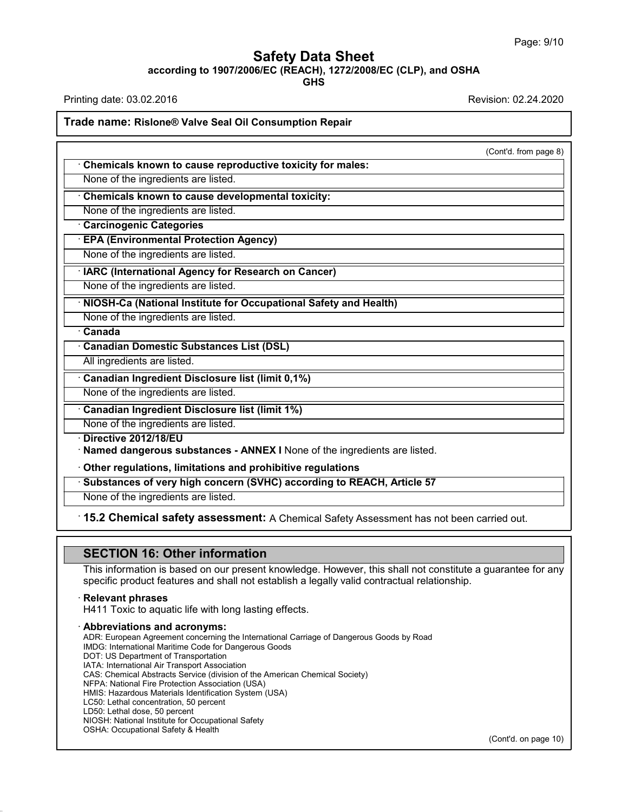**Safety Data Sheet<br>6/EC (REACH), 1272/2008/EC (CLP), and C<br>GHS** Page: 9/10<br>**according to 1907/2006/EC (REACH), 1272/2008/EC (CLP), and OSHA**<br>GHS<br>Printing date: 03.02.2016<br>Revision: 02.24.2020 Page: 9/10<br> **Safety Data Sheet**<br>
according to 1907/2006/EC (REACH), 1272/2008/EC (CLP), and OSHA<br>
Printing date: 03.02.2016<br>
Revision: 02.24.2020<br>
Revision: 02.24.2020

**GHS**

## **Trade name:** Rislone® Valve Seal Oil Consumption Repair<br>Trade name: Rislone® Valve Seal Oil Consumption Repair

(Cont'd. from page 8)

**Example 18 Allen Consumption Repair**<br>
• **Chemicals known to cause reproductive toxicity for males:**<br>
None of the ingredients are listed. None of the ingredients are listed.<br>• **Chemicals known to cause reproductive toxicity for males:**<br>• None of the ingredients are listed.<br>• **Chemicals known to cause developmental toxicity:**<br>• None of the ingredients are lis • **Chemicals known to cause reproductive to:**<br>None of the ingredients are listed.<br>• **Chemicals known to cause developmental t**<br>None of the ingredients are listed.<br>• **Carcinogenic Categories**<br>• **EPA (Environmental Protecti** 

None of the ingredients are listed.<br> **· Chemicals known to cause developmental toxicity:**<br>
None of the ingredients are listed.<br> **· Carcinogenic Categories**<br> **· EPA (Environmental Protection Agency)**<br>
None of the ingredien

• Chemicals known to cause developmental toxicity:<br>• None of the ingredients are listed.<br>• **Carcinogenic Categories**<br>• **EPA (Environmental Protection Agency)**<br>• None of the ingredients are listed.<br>• None of the ingredients

**EPA (Environmental Protection Agency)**<br>
None of the ingredients are listed.<br> **IARC (International Agency for Research on Cancer)**<br>
None of the ingredients are listed.<br> **NIOSH-Ca (National Institute for Occupational Safety** • IARC (International Agency for Research on Cancer)<br>None of the ingredients are listed.<br>• **NIOSH-Ca (National Institute for Occupational Safety**<br>None of the ingredients are listed.<br>• Canada<br>• Canadian Domestic Substances **NIOSH-Ca (National Institute for Occupational Safety and Health)**<br>None of the ingredients are listed.<br>Canadian Domestic Substances List (DSL)<br>All ingredients are listed.

All ingredients are listed.<br> **All ingredients are listed.**<br> **Canadian Domestic Substances List (DSL)**<br>
All ingredients are listed.<br> **Canadian Ingredient Disclosure list (limit 0,1%)**<br>
None of the ingredients are listed.

**Canadian Domestic Substances List (DSL)**<br>
All ingredients are listed.<br> **Canadian Ingredient Disclosure list (limit 0,1%)**<br>
None of the ingredients are listed.<br> **Canadian Ingredient Disclosure list (limit 1%)**<br>
None of the

**• Canadian Ingredient Disclosure list (limit 0,1%)**<br>None of the ingredients are listed.<br>**• Canadian Ingredient Disclosure list (limit 1%)**<br>None of the ingredients are listed.<br>• **Directive 2012/18/EU**<br>• **Named dangerous s** 

**■ None of the ingredient Disclosure list (limit 1%)**<br>
• Canadian Ingredients are listed.<br>
• Directive 2012/18/EU<br>
• Named dangerous substances - ANNEX I None of the ingredients are listed.<br>
• Other regulations, limitatio • **Named dangerous substances - ANNEX I** None of the ingredients are listed.<br>• Other regulations, limitations and prohibitive regulations<br>• Substances of very high concern (SVHC) according to REACH, Article 57<br>• None of th

None of the ingredients are listed.<br>• **Cher regulations, limitations and prohibitive regulations**<br>• Substances of very high concern (SVHC) according to REACH, Article 57<br>• None of the ingredients are listed.<br>• 15.2 Chemica

**15.2 Chemical safety assessment:** A Chemical Safety Assessment has not been carried out.<br> **SECTION 16: Other information**<br>
This information is based on our present knowledge. However, this shall not constitute a guarantee **This information**<br>This information is based on our present knowledge. However, this shall not constitute a guarantee for any specific product features and shall not establish a legally valid contractual relationship. **SECTION 16: Other information**<br>This information is based on our present knowledge. However, this shall not constitute a gual<br>specific product features and shall not establish a legally valid contractual relationship.<br>· **R** 

42.0.8

**SECTION 16: Other information**<br>This information is based on our present knowledge. However<br>specific product features and shall not establish a legally valid<br>· **Relevant phrases**<br>H411 Toxic to aquatic life with long lastin Relevant phrases<br>H411 Toxic to aquatic life with long lasting effects.<br>Abbreviations and acronyms:<br>ADR: European Agreement concerning the International Carriage of Dangerous Goods by Road<br>INDG: International Maritime Code Relevant phrases<br>
H411 Toxic to aquatic life with long lasting effects.<br> **Abbreviations and acronyms:**<br>
ADR: European Agreement concerning the International Carriage of I<br>
IMDG: International Maritime Code for Dangerous Go H411 Toxic to aquatic life with long last<br> **Abbreviations and acronyms:**<br>
ADR: European Agreement concerning the Intern<br>
IMDG: International Maritime Code for Dangerou<br>
DOT: US Department of Transport Association<br>
IATA: In **Abbreviations and acronyms:**<br>ADR: European Agreement concerning the Internation<br>IMDG: International Maritime Code for Dangerous Goo<br>DOT: US Department of Transport Association<br>CAS: Chemical Abstracts Service (division of **AbbreViations and acronyms:**<br>ADR: European Agreement concerning the International Carriage of Dangerous Goods b<br>IMDG: International Maritime Code for Dangerous Goods<br>DOT: US Department of Transportation<br>IATA: Internationa ADR: European Agreement concerning the International Carria<br>IMDG: International Maritime Code for Dangerous Goods<br>DOT: US Department of Transportation<br>IATA: International Air Transport Association<br>CAS: Chemical Abstracts S IMDG: International Maritime Code for Dangerous Goods<br>DOT: US Department of Transportation<br>IATA: International Air Transport Association<br>CAS: Chemical Abstracts Service (division of the American Chemica<br>NFPA: National Fire DOT: US Department of Transportation<br>IATA: International Air Transport Association<br>CAS: Chemical Abstracts Service (division of the A<br>NFPA: National Fire Protection Association (USA)<br>HMIS: Hazardous Materials Identificatio IATA: International Air Transport Associat<br>CAS: Chemical Abstracts Service (divisio<br>NFPA: National Fire Protection Associatic<br>HMIS: Hazardous Materials Identification<br>LC50: Lethal dose, 50 percent<br>LD50: Lethal dose, 50 per CAS: Chemical Abstracts Service (division of the American CI<br>NFPA: National Fire Protection Association (USA)<br>HMIS: Hazardous Materials Identification System (USA)<br>LC50: Lethal concentration, 50 percent<br>LD50: Lethal dose, NFPA: National Fire Protection Association (USA)<br>HMIS: Hazardous Materials Identification System<br>LC50: Lethal concentration, 50 percent<br>LD50: Lethal dose, 50 percent<br>NIOSH: National Institute for Occupational Safety<br>OSHA:

(Cont'd. on page 10)